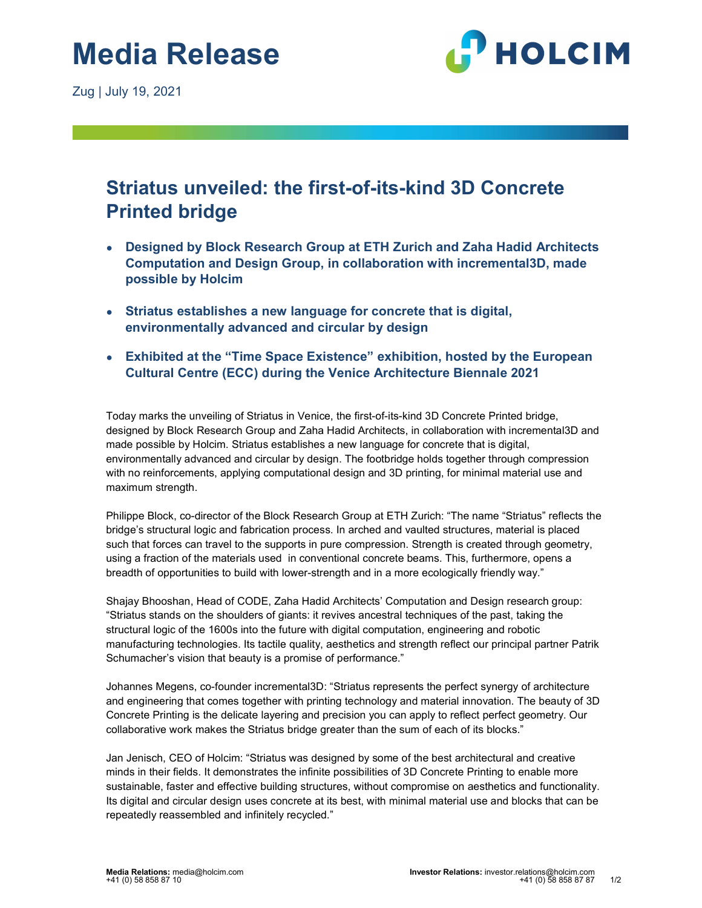

# Striatus unveiled: the first-of-its-kind 3D Concrete Printed bridge

- Designed by Block Research Group at ETH Zurich and Zaha Hadid Architects Computation and Design Group, in collaboration with incremental3D, made possible by Holcim
- Striatus establishes a new language for concrete that is digital, environmentally advanced and circular by design
- Exhibited at the "Time Space Existence" exhibition, hosted by the European Cultural Centre (ECC) during the Venice Architecture Biennale 2021

Today marks the unveiling of Striatus in Venice, the first-of-its-kind 3D Concrete Printed bridge, designed by Block Research Group and Zaha Hadid Architects, in collaboration with incremental3D and made possible by Holcim. Striatus establishes a new language for concrete that is digital, environmentally advanced and circular by design. The footbridge holds together through compression with no reinforcements, applying computational design and 3D printing, for minimal material use and maximum strength.

Philippe Block, co-director of the Block Research Group at ETH Zurich: "The name "Striatus" reflects the bridge's structural logic and fabrication process. In arched and vaulted structures, material is placed such that forces can travel to the supports in pure compression. Strength is created through geometry, using a fraction of the materials used in conventional concrete beams. This, furthermore, opens a breadth of opportunities to build with lower-strength and in a more ecologically friendly way."

Shajay Bhooshan, Head of CODE, Zaha Hadid Architects' Computation and Design research group: "Striatus stands on the shoulders of giants: it revives ancestral techniques of the past, taking the structural logic of the 1600s into the future with digital computation, engineering and robotic manufacturing technologies. Its tactile quality, aesthetics and strength reflect our principal partner Patrik Schumacher's vision that beauty is a promise of performance."

Johannes Megens, co-founder incremental3D: "Striatus represents the perfect synergy of architecture and engineering that comes together with printing technology and material innovation. The beauty of 3D Concrete Printing is the delicate layering and precision you can apply to reflect perfect geometry. Our collaborative work makes the Striatus bridge greater than the sum of each of its blocks."

Jan Jenisch, CEO of Holcim: "Striatus was designed by some of the best architectural and creative minds in their fields. It demonstrates the infinite possibilities of 3D Concrete Printing to enable more sustainable, faster and effective building structures, without compromise on aesthetics and functionality. Its digital and circular design uses concrete at its best, with minimal material use and blocks that can be repeatedly reassembled and infinitely recycled."